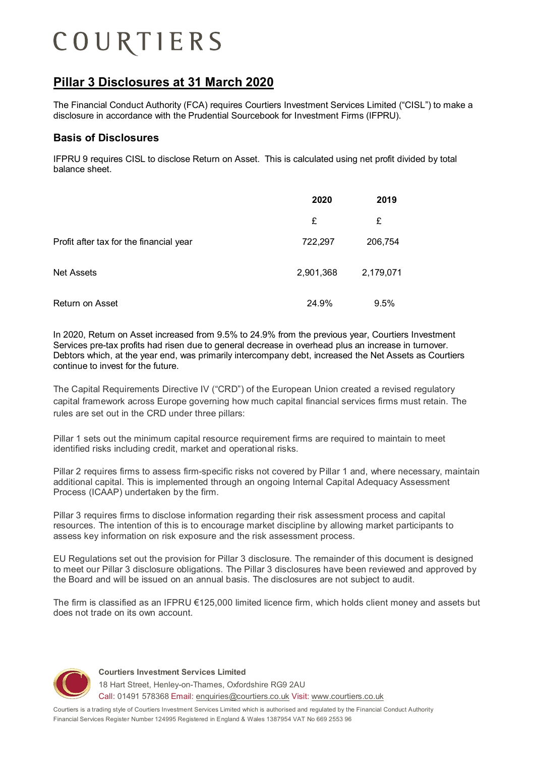# COURTIERS

## **Pillar 3 Disclosures at 31 March 2020**

The Financial Conduct Authority (FCA) requires Courtiers Investment Services Limited ("CISL") to make a disclosure in accordance with the Prudential Sourcebook for Investment Firms (IFPRU).

## **Basis of Disclosures**

IFPRU 9 requires CISL to disclose Return on Asset. This is calculated using net profit divided by total balance sheet.

|                                         | 2020      | 2019      |
|-----------------------------------------|-----------|-----------|
|                                         | £         | £         |
| Profit after tax for the financial year | 722,297   | 206,754   |
| <b>Net Assets</b>                       | 2,901,368 | 2,179,071 |
| Return on Asset                         | 24.9%     | 9.5%      |

In 2020, Return on Asset increased from 9.5% to 24.9% from the previous year, Courtiers Investment Services pre-tax profits had risen due to general decrease in overhead plus an increase in turnover. Debtors which, at the year end, was primarily intercompany debt, increased the Net Assets as Courtiers continue to invest for the future.

The Capital Requirements Directive IV ("CRD") of the European Union created a revised regulatory capital framework across Europe governing how much capital financial services firms must retain. The rules are set out in the CRD under three pillars:

Pillar 1 sets out the minimum capital resource requirement firms are required to maintain to meet identified risks including credit, market and operational risks.

Pillar 2 requires firms to assess firm-specific risks not covered by Pillar 1 and, where necessary, maintain additional capital. This is implemented through an ongoing Internal Capital Adequacy Assessment Process (ICAAP) undertaken by the firm.

Pillar 3 requires firms to disclose information regarding their risk assessment process and capital resources. The intention of this is to encourage market discipline by allowing market participants to assess key information on risk exposure and the risk assessment process.

EU Regulations set out the provision for Pillar 3 disclosure. The remainder of this document is designed to meet our Pillar 3 disclosure obligations. The Pillar 3 disclosures have been reviewed and approved by the Board and will be issued on an annual basis. The disclosures are not subject to audit.

The firm is classified as an IFPRU €125,000 limited licence firm, which holds client money and assets but does not trade on its own account.



**Courtiers Investment Services Limited**

18 Hart Street, Henley-on-Thames, Oxfordshire RG9 2AU

Call: 01491 578368 Email: [enquiries@courtiers.co.uk](mailto:enquiries@courtiers.co.uk) Visit: [www.courtiers.co.uk](http://www.courtiers.co.uk/)

Courtiers is a trading style of Courtiers Investment Services Limited which is authorised and regulated by the Financial Conduct Authority Financial Services Register Number 124995 Registered in England & Wales 1387954 VAT No 669 2553 96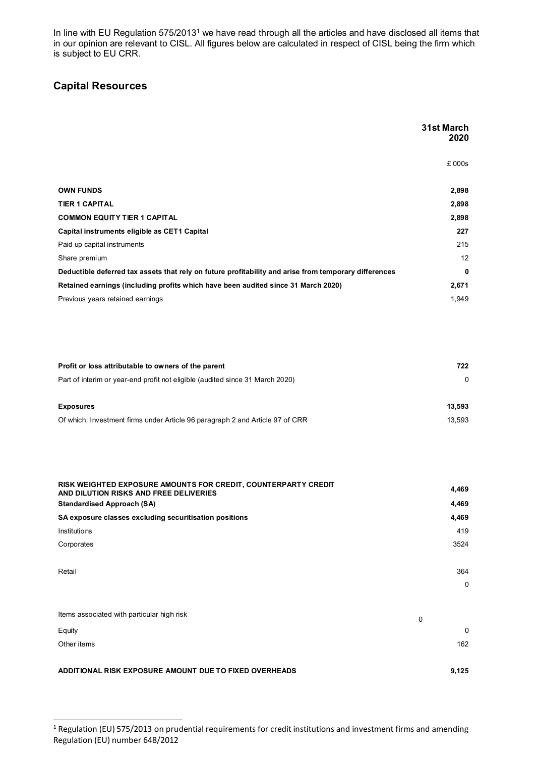In line with EU Regulation 575/20[1](#page-1-0)3<sup>1</sup> we have read through all the articles and have disclosed all items that in our opinion are relevant to CISL. All figures below are calculated in respect of CISL being the firm which is subject to EU CRR.

## **Capital Resources**

|                                                                                                          | 31st March<br>2020 |
|----------------------------------------------------------------------------------------------------------|--------------------|
|                                                                                                          | £ 000s             |
| <b>OWN FUNDS</b>                                                                                         | 2,898              |
| <b>TIER 1 CAPITAL</b>                                                                                    | 2,898              |
| <b>COMMON EQUITY TIER 1 CAPITAL</b>                                                                      | 2,898              |
| Capital instruments eligible as CET1 Capital                                                             | 227                |
| Paid up capital instruments                                                                              | 215                |
| Share premium                                                                                            | 12                 |
| Deductible deferred tax assets that rely on future profitability and arise from temporary differences    | $\mathbf{0}$       |
| Retained earnings (including profits which have been audited since 31 March 2020)                        | 2,671              |
| Previous years retained earnings                                                                         | 1,949              |
| Profit or loss attributable to owners of the parent                                                      | 722                |
| Part of interim or year-end profit not eligible (audited since 31 March 2020)                            | 0                  |
|                                                                                                          |                    |
| <b>Exposures</b>                                                                                         | 13,593             |
| Of which: Investment firms under Article 96 paragraph 2 and Article 97 of CRR                            | 13,593             |
|                                                                                                          |                    |
| RISK WEIGHTED EXPOSURE AMOUNTS FOR CREDIT, COUNTERPARTY CREDIT<br>AND DILUTION RISKS AND FREE DELIVERIES | 4,469              |
| <b>Standardised Approach (SA)</b>                                                                        | 4,469              |
| SA exposure classes excluding securitisation positions                                                   | 4.469              |

Institutions 419

Corporates 3524

Retail and the contract of the contract of the contract of the contract of the contract of the contract of the contract of the contract of the contract of the contract of the contract of the contract of the contract of the

Items associated with particular high risk

Equity 0

Other items 162

**ADDITIONAL RISK EXPOSURE AMOUNT DUE TO FIXED OVERHEADS 9,125**

0

0

<span id="page-1-0"></span> $\overline{a}$  $1$  Regulation (EU) 575/2013 on prudential requirements for credit institutions and investment firms and amending Regulation (EU) number 648/2012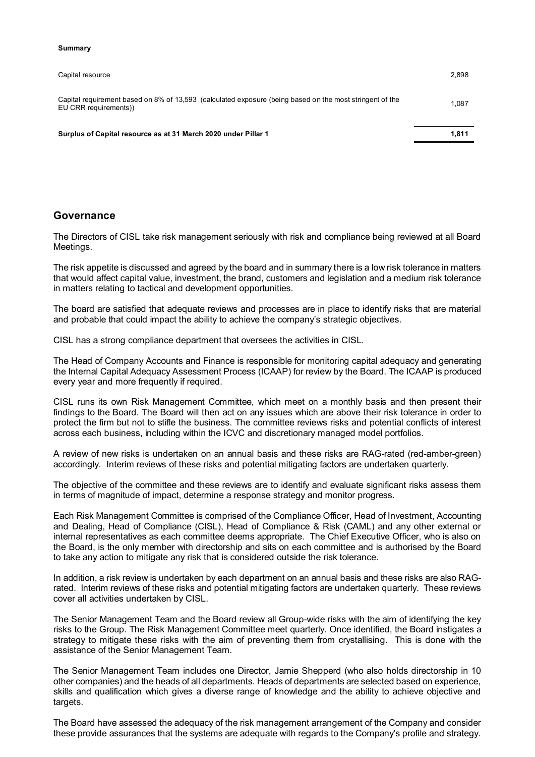#### **Summary**

| Capital resource                                                                                                                 | 2,898 |
|----------------------------------------------------------------------------------------------------------------------------------|-------|
| Capital requirement based on 8% of 13,593 (calculated exposure (being based on the most stringent of the<br>EU CRR requirements) | 1.087 |
| Surplus of Capital resource as at 31 March 2020 under Pillar 1                                                                   | 1.811 |

### **Governance**

The Directors of CISL take risk management seriously with risk and compliance being reviewed at all Board Meetings.

The risk appetite is discussed and agreed by the board and in summary there is a low risk tolerance in matters that would affect capital value, investment, the brand, customers and legislation and a medium risk tolerance in matters relating to tactical and development opportunities.

The board are satisfied that adequate reviews and processes are in place to identify risks that are material and probable that could impact the ability to achieve the company's strategic objectives.

CISL has a strong compliance department that oversees the activities in CISL.

The Head of Company Accounts and Finance is responsible for monitoring capital adequacy and generating the Internal Capital Adequacy Assessment Process (ICAAP) for review by the Board. The ICAAP is produced every year and more frequently if required.

CISL runs its own Risk Management Committee, which meet on a monthly basis and then present their findings to the Board. The Board will then act on any issues which are above their risk tolerance in order to protect the firm but not to stifle the business. The committee reviews risks and potential conflicts of interest across each business, including within the ICVC and discretionary managed model portfolios.

A review of new risks is undertaken on an annual basis and these risks are RAG-rated (red-amber-green) accordingly. Interim reviews of these risks and potential mitigating factors are undertaken quarterly.

The objective of the committee and these reviews are to identify and evaluate significant risks assess them in terms of magnitude of impact, determine a response strategy and monitor progress.

Each Risk Management Committee is comprised of the Compliance Officer, Head of Investment, Accounting and Dealing, Head of Compliance (CISL), Head of Compliance & Risk (CAML) and any other external or internal representatives as each committee deems appropriate. The Chief Executive Officer, who is also on the Board, is the only member with directorship and sits on each committee and is authorised by the Board to take any action to mitigate any risk that is considered outside the risk tolerance.

In addition, a risk review is undertaken by each department on an annual basis and these risks are also RAGrated. Interim reviews of these risks and potential mitigating factors are undertaken quarterly. These reviews cover all activities undertaken by CISL.

The Senior Management Team and the Board review all Group-wide risks with the aim of identifying the key risks to the Group. The Risk Management Committee meet quarterly. Once identified, the Board instigates a strategy to mitigate these risks with the aim of preventing them from crystallising. This is done with the assistance of the Senior Management Team.

The Senior Management Team includes one Director, Jamie Shepperd (who also holds directorship in 10 other companies) and the heads of all departments. Heads of departments are selected based on experience, skills and qualification which gives a diverse range of knowledge and the ability to achieve objective and targets.

The Board have assessed the adequacy of the risk management arrangement of the Company and consider these provide assurances that the systems are adequate with regards to the Company's profile and strategy.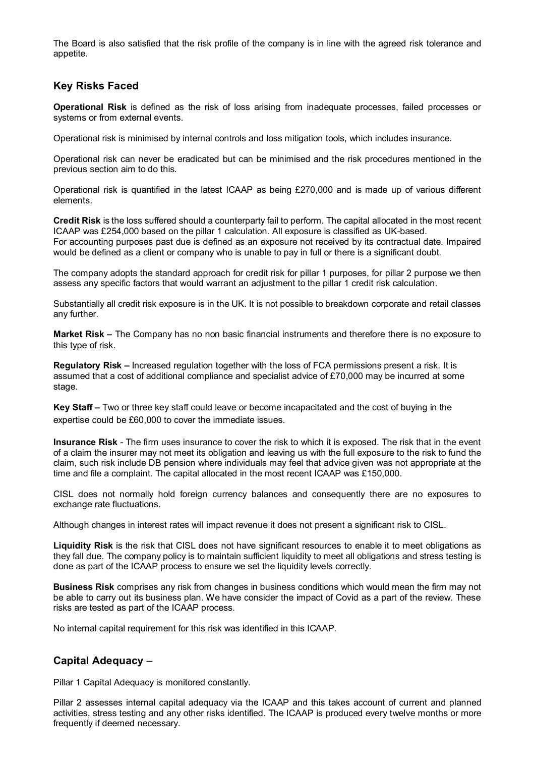The Board is also satisfied that the risk profile of the company is in line with the agreed risk tolerance and appetite.

## **Key Risks Faced**

**Operational Risk** is defined as the risk of loss arising from inadequate processes, failed processes or systems or from external events.

Operational risk is minimised by internal controls and loss mitigation tools, which includes insurance.

Operational risk can never be eradicated but can be minimised and the risk procedures mentioned in the previous section aim to do this.

Operational risk is quantified in the latest ICAAP as being £270,000 and is made up of various different elements.

**Credit Risk** is the loss suffered should a counterparty fail to perform. The capital allocated in the most recent ICAAP was £254,000 based on the pillar 1 calculation. All exposure is classified as UK-based. For accounting purposes past due is defined as an exposure not received by its contractual date. Impaired would be defined as a client or company who is unable to pay in full or there is a significant doubt.

The company adopts the standard approach for credit risk for pillar 1 purposes, for pillar 2 purpose we then assess any specific factors that would warrant an adjustment to the pillar 1 credit risk calculation.

Substantially all credit risk exposure is in the UK. It is not possible to breakdown corporate and retail classes any further.

**Market Risk –** The Company has no non basic financial instruments and therefore there is no exposure to this type of risk.

**Regulatory Risk –** Increased regulation together with the loss of FCA permissions present a risk. It is assumed that a cost of additional compliance and specialist advice of £70,000 may be incurred at some stage.

**Key Staff –** Two or three key staff could leave or become incapacitated and the cost of buying in the expertise could be £60,000 to cover the immediate issues.

**Insurance Risk** - The firm uses insurance to cover the risk to which it is exposed. The risk that in the event of a claim the insurer may not meet its obligation and leaving us with the full exposure to the risk to fund the claim, such risk include DB pension where individuals may feel that advice given was not appropriate at the time and file a complaint. The capital allocated in the most recent ICAAP was £150,000.

CISL does not normally hold foreign currency balances and consequently there are no exposures to exchange rate fluctuations.

Although changes in interest rates will impact revenue it does not present a significant risk to CISL.

**Liquidity Risk** is the risk that CISL does not have significant resources to enable it to meet obligations as they fall due. The company policy is to maintain sufficient liquidity to meet all obligations and stress testing is done as part of the ICAAP process to ensure we set the liquidity levels correctly.

**Business Risk** comprises any risk from changes in business conditions which would mean the firm may not be able to carry out its business plan. We have consider the impact of Covid as a part of the review. These risks are tested as part of the ICAAP process.

No internal capital requirement for this risk was identified in this ICAAP.

## **Capital Adequacy** –

Pillar 1 Capital Adequacy is monitored constantly.

Pillar 2 assesses internal capital adequacy via the ICAAP and this takes account of current and planned activities, stress testing and any other risks identified. The ICAAP is produced every twelve months or more frequently if deemed necessary.